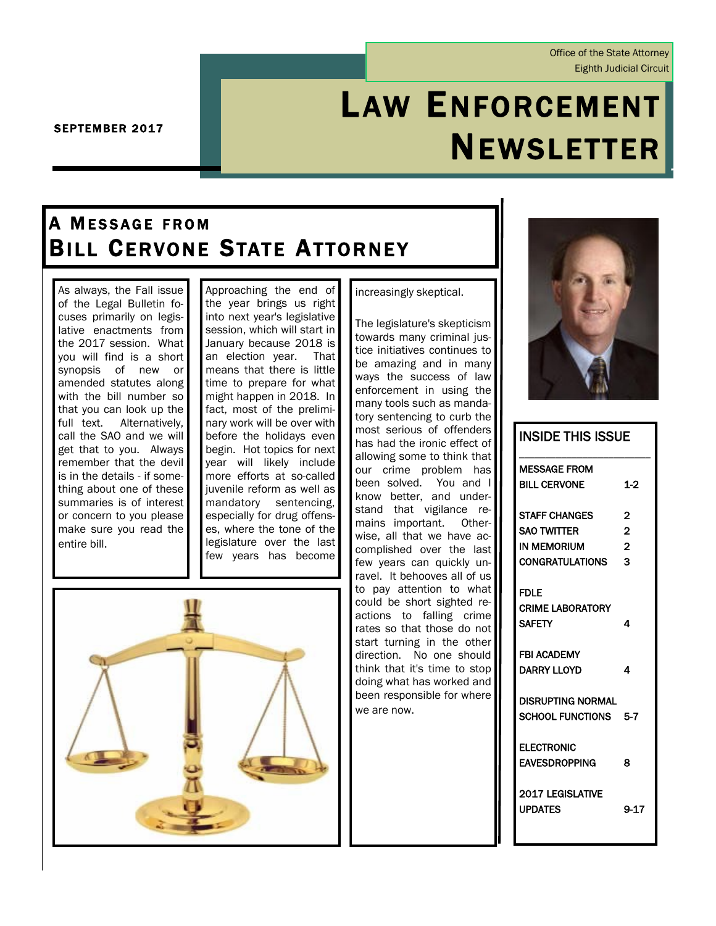Office of the State Attorney Eighth Judicial Circuit

# LAW ENFORCEMENT NEWSLETTER

SEPTEMBER 2017

# A MESSAGE FROM **BILL CERVONE STATE ATTORNEY**

As always, the Fall issue of the Legal Bulletin focuses primarily on legislative enactments from the 2017 session. What you will find is a short synopsis of new or amended statutes along with the bill number so that you can look up the full text. Alternatively, call the SAO and we will get that to you. Always remember that the devil is in the details - if something about one of these summaries is of interest or concern to you please make sure you read the entire bill.

Approaching the end of the year brings us right into next year's legislative session, which will start in January because 2018 is an election year. That means that there is little time to prepare for what might happen in 2018. In fact, most of the preliminary work will be over with before the holidays even begin. Hot topics for next year will likely include more efforts at so-called iuvenile reform as well as mandatory sentencing, especially for drug offenses, where the tone of the legislature over the last few years has become



increasingly skeptical.

The legislature's skepticism towards many criminal justice initiatives continues to be amazing and in many ways the success of law enforcement in using the many tools such as mandatory sentencing to curb the most serious of offenders has had the ironic effect of allowing some to think that our crime problem has been solved. You and I know better, and understand that vigilance remains important. Otherwise, all that we have accomplished over the last few years can quickly unravel. It behooves all of us to pay attention to what could be short sighted reactions to falling crime rates so that those do not start turning in the other direction. No one should think that it's time to stop doing what has worked and been responsible for where we are now.



INSIDE THIS ISSUE

| INƏIDE THIƏ IƏƏUE        |                |
|--------------------------|----------------|
| <b>MESSAGE FROM</b>      |                |
| <b>BILL CERVONE</b>      | $1-2$          |
| <b>STAFF CHANGES</b>     | 2              |
| <b>SAO TWITTER</b>       | $\overline{2}$ |
| <b>IN MEMORIUM</b>       | $\overline{2}$ |
| CONGRATULATIONS          | 3              |
| <b>FDLE</b>              |                |
| <b>CRIME LABORATORY</b>  |                |
| <b>SAFETY</b>            | 4              |
| <b>FBI ACADEMY</b>       |                |
| DARRY LLOYD              | 4              |
| <b>DISRUPTING NORMAL</b> |                |
| SCHOOL FUNCTIONS 5-7     |                |
| <b>ELECTRONIC</b>        |                |
| <b>EAVESDROPPING</b>     | 8              |
| <b>2017 LEGISLATIVE</b>  |                |
| <b>UPDATES</b>           | 9-17           |
|                          |                |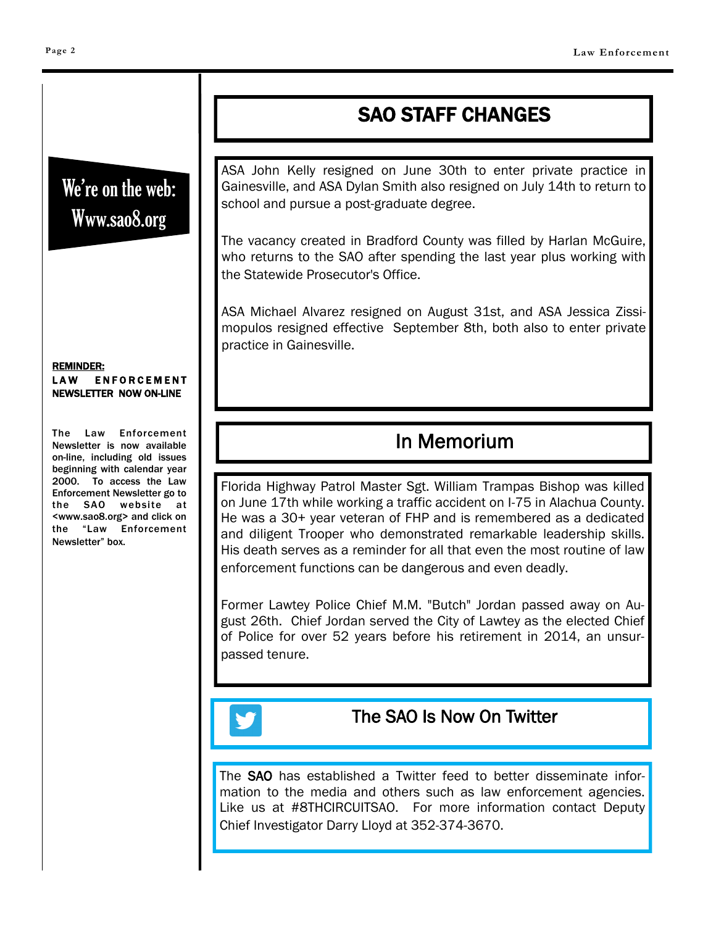# SAO STAFF CHANGES

We're on the web: Www.sao8.org

### ASA John Kelly resigned on June 30th to enter private practice in Gainesville, and ASA Dylan Smith also resigned on July 14th to return to school and pursue a post-graduate degree.

The vacancy created in Bradford County was filled by Harlan McGuire, who returns to the SAO after spending the last year plus working with the Statewide Prosecutor's Office.

ASA Michael Alvarez resigned on August 31st, and ASA Jessica Zissimopulos resigned effective September 8th, both also to enter private practice in Gainesville.

# In Memorium

Florida Highway Patrol Master Sgt. William Trampas Bishop was killed on June 17th while working a traffic accident on I-75 in Alachua County. He was a 30+ year veteran of FHP and is remembered as a dedicated and diligent Trooper who demonstrated remarkable leadership skills. His death serves as a reminder for all that even the most routine of law enforcement functions can be dangerous and even deadly.

Former Lawtey Police Chief M.M. "Butch" Jordan passed away on August 26th. Chief Jordan served the City of Lawtey as the elected Chief of Police for over 52 years before his retirement in 2014, an unsurpassed tenure.

### The SAO Is Now On Twitter

The SAO has established a Twitter feed to better disseminate information to the media and others such as law enforcement agencies. Like us at #8THCIRCUITSAO. For more information contact Deputy Chief Investigator Darry Lloyd at 352-374-3670.

REMINDER: LAW ENFORCEMENT NEWSLETTER NOW ON-LINE

The Law Enforcement Newsletter is now available on-line, including old issues beginning with calendar year 2000. To access the Law Enforcement Newsletter go to the SAO website at <www.sao8.org> and click on the "Law Enforcement Newsletter" box.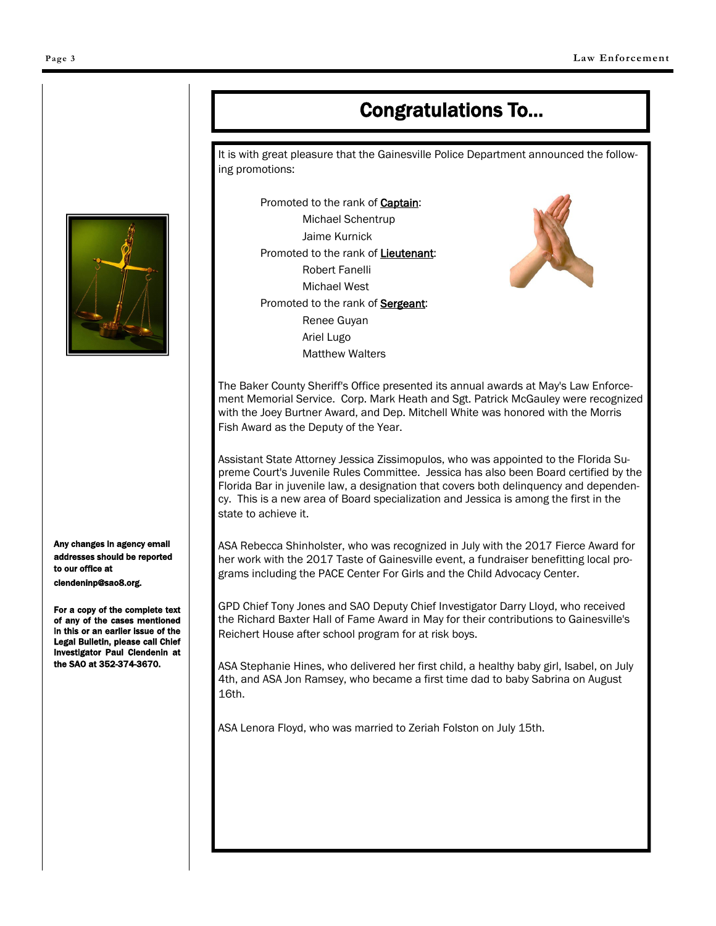# Congratulations To...

It is with great pleasure that the Gainesville Police Department announced the following promotions:

Promoted to the rank of Captain: Michael Schentrup Jaime Kurnick Promoted to the rank of Lieutenant: Robert Fanelli Michael West Promoted to the rank of **Sergeant**: Renee Guyan Ariel Lugo Matthew Walters



The Baker County Sheriff's Office presented its annual awards at May's Law Enforcement Memorial Service. Corp. Mark Heath and Sgt. Patrick McGauley were recognized with the Joey Burtner Award, and Dep. Mitchell White was honored with the Morris Fish Award as the Deputy of the Year.

Assistant State Attorney Jessica Zissimopulos, who was appointed to the Florida Supreme Court's Juvenile Rules Committee. Jessica has also been Board certified by the Florida Bar in juvenile law, a designation that covers both delinquency and dependency. This is a new area of Board specialization and Jessica is among the first in the state to achieve it.

ASA Rebecca Shinholster, who was recognized in July with the 2017 Fierce Award for her work with the 2017 Taste of Gainesville event, a fundraiser benefitting local programs including the PACE Center For Girls and the Child Advocacy Center.

GPD Chief Tony Jones and SAO Deputy Chief Investigator Darry Lloyd, who received the Richard Baxter Hall of Fame Award in May for their contributions to Gainesville's Reichert House after school program for at risk boys.

ASA Stephanie Hines, who delivered her first child, a healthy baby girl, Isabel, on July 4th, and ASA Jon Ramsey, who became a first time dad to baby Sabrina on August 16th.

ASA Lenora Floyd, who was married to Zeriah Folston on July 15th.



Any changes in agency email addresses should be reported to our office at clendeninp@sao8.org.

For a copy of the complete text of any of the cases mentioned in this or an earlier issue of the Legal Bulletin, please call Chief Investigator Paul Clendenin at the SAO at 352-374-3670.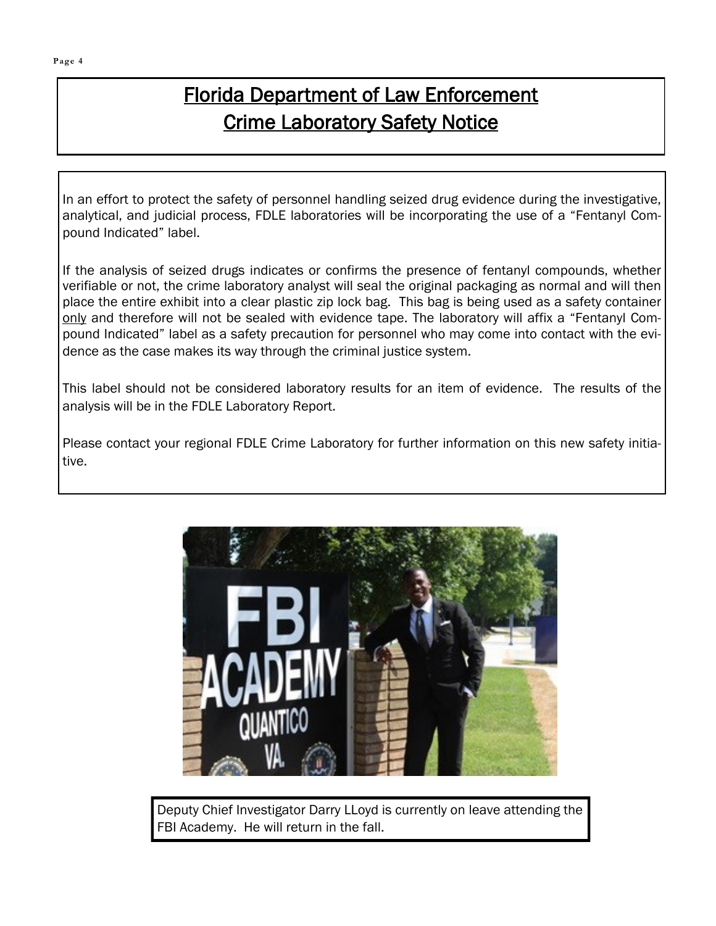# Florida Department of Law Enforcement Crime Laboratory Safety Notice

In an effort to protect the safety of personnel handling seized drug evidence during the investigative, analytical, and judicial process, FDLE laboratories will be incorporating the use of a "Fentanyl Compound Indicated" label.

If the analysis of seized drugs indicates or confirms the presence of fentanyl compounds, whether verifiable or not, the crime laboratory analyst will seal the original packaging as normal and will then place the entire exhibit into a clear plastic zip lock bag. This bag is being used as a safety container only and therefore will not be sealed with evidence tape. The laboratory will affix a "Fentanyl Compound Indicated" label as a safety precaution for personnel who may come into contact with the evidence as the case makes its way through the criminal justice system.

This label should not be considered laboratory results for an item of evidence. The results of the analysis will be in the FDLE Laboratory Report.

Please contact your regional FDLE Crime Laboratory for further information on this new safety initiative.



Deputy Chief Investigator Darry LLoyd is currently on leave attending the FBI Academy. He will return in the fall.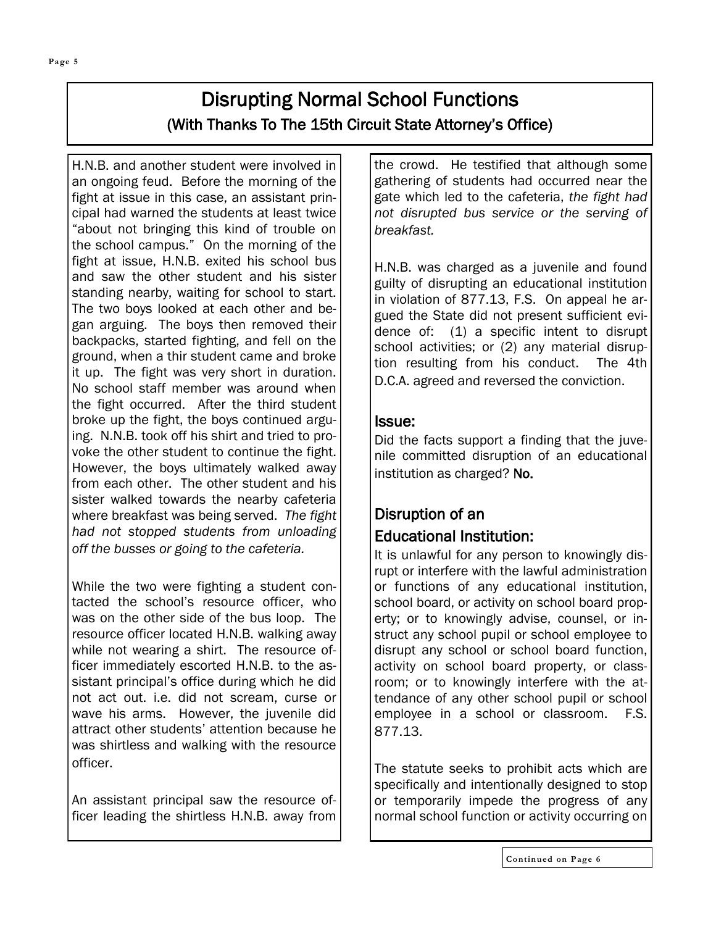## Disrupting Normal School Functions (With Thanks To The 15th Circuit State Attorney's Office)

H.N.B. and another student were involved in an ongoing feud. Before the morning of the fight at issue in this case, an assistant principal had warned the students at least twice "about not bringing this kind of trouble on the school campus." On the morning of the fight at issue, H.N.B. exited his school bus and saw the other student and his sister standing nearby, waiting for school to start. The two boys looked at each other and began arguing. The boys then removed their backpacks, started fighting, and fell on the ground, when a thir student came and broke it up. The fight was very short in duration. No school staff member was around when the fight occurred. After the third student broke up the fight, the boys continued arguing. N.N.B. took off his shirt and tried to provoke the other student to continue the fight. However, the boys ultimately walked away from each other. The other student and his sister walked towards the nearby cafeteria where breakfast was being served. *The fight had not stopped students from unloading off the busses or going to the cafeteria.*

While the two were fighting a student contacted the school's resource officer, who was on the other side of the bus loop. The resource officer located H.N.B. walking away while not wearing a shirt. The resource officer immediately escorted H.N.B. to the assistant principal's office during which he did not act out. i.e. did not scream, curse or wave his arms. However, the juvenile did attract other students' attention because he was shirtless and walking with the resource officer.

An assistant principal saw the resource officer leading the shirtless H.N.B. away from the crowd. He testified that although some gathering of students had occurred near the gate which led to the cafeteria, *the fight had not disrupted bus service or the serving of breakfast.*

H.N.B. was charged as a juvenile and found guilty of disrupting an educational institution in violation of 877.13, F.S. On appeal he argued the State did not present sufficient evidence of: (1) a specific intent to disrupt school activities; or (2) any material disruption resulting from his conduct. The 4th D.C.A. agreed and reversed the conviction.

### Issue:

Did the facts support a finding that the juvenile committed disruption of an educational institution as charged? No.

### Disruption of an Educational Institution:

It is unlawful for any person to knowingly disrupt or interfere with the lawful administration or functions of any educational institution, school board, or activity on school board property; or to knowingly advise, counsel, or instruct any school pupil or school employee to disrupt any school or school board function, activity on school board property, or classroom; or to knowingly interfere with the attendance of any other school pupil or school employee in a school or classroom. F.S. 877.13.

The statute seeks to prohibit acts which are specifically and intentionally designed to stop or temporarily impede the progress of any normal school function or activity occurring on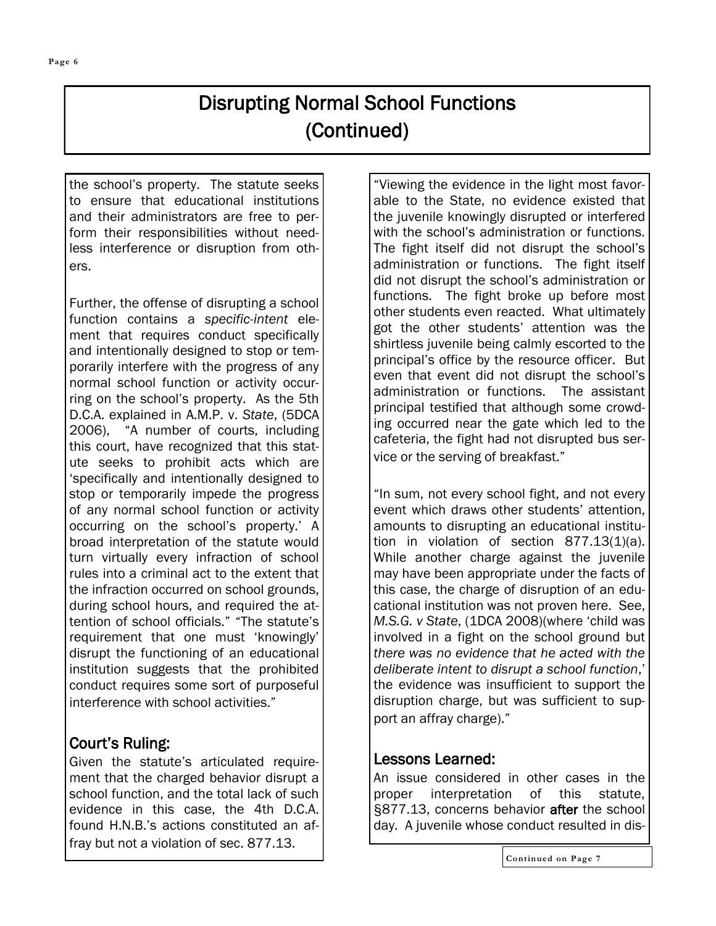# Disrupting Normal School Functions (Continued)

the school's property. The statute seeks to ensure that educational institutions and their administrators are free to perform their responsibilities without needless interference or disruption from others.

Further, the offense of disrupting a school function contains a *specific-intent* element that requires conduct specifically and intentionally designed to stop or temporarily interfere with the progress of any normal school function or activity occurring on the school's property. As the 5th D.C.A. explained in A.M.P. v. *State*, (5DCA 2006), "A number of courts, including this court, have recognized that this statute seeks to prohibit acts which are 'specifically and intentionally designed to stop or temporarily impede the progress of any normal school function or activity occurring on the school's property.' A broad interpretation of the statute would turn virtually every infraction of school rules into a criminal act to the extent that the infraction occurred on school grounds, during school hours, and required the attention of school officials." "The statute's requirement that one must 'knowingly' disrupt the functioning of an educational institution suggests that the prohibited conduct requires some sort of purposeful interference with school activities."

### Court's Ruling:

Given the statute's articulated requirement that the charged behavior disrupt a school function, and the total lack of such evidence in this case, the 4th D.C.A. found H.N.B.'s actions constituted an affray but not a violation of sec. 877.13.

"Viewing the evidence in the light most favorable to the State, no evidence existed that the juvenile knowingly disrupted or interfered with the school's administration or functions. The fight itself did not disrupt the school's administration or functions. The fight itself did not disrupt the school's administration or functions. The fight broke up before most other students even reacted. What ultimately got the other students' attention was the shirtless juvenile being calmly escorted to the principal's office by the resource officer. But even that event did not disrupt the school's administration or functions. The assistant principal testified that although some crowding occurred near the gate which led to the cafeteria, the fight had not disrupted bus service or the serving of breakfast."

"In sum, not every school fight, and not every event which draws other students' attention, amounts to disrupting an educational institution in violation of section 877.13(1)(a). While another charge against the juvenile may have been appropriate under the facts of this case, the charge of disruption of an educational institution was not proven here. See, *M.S.G. v State*, (1DCA 2008)(where 'child was involved in a fight on the school ground but *there was no evidence that he acted with the deliberate intent to disrupt a school function*,' the evidence was insufficient to support the disruption charge, but was sufficient to support an affray charge)."

### Lessons Learned:

An issue considered in other cases in the proper interpretation of this statute, §877.13, concerns behavior after the school day. A juvenile whose conduct resulted in dis-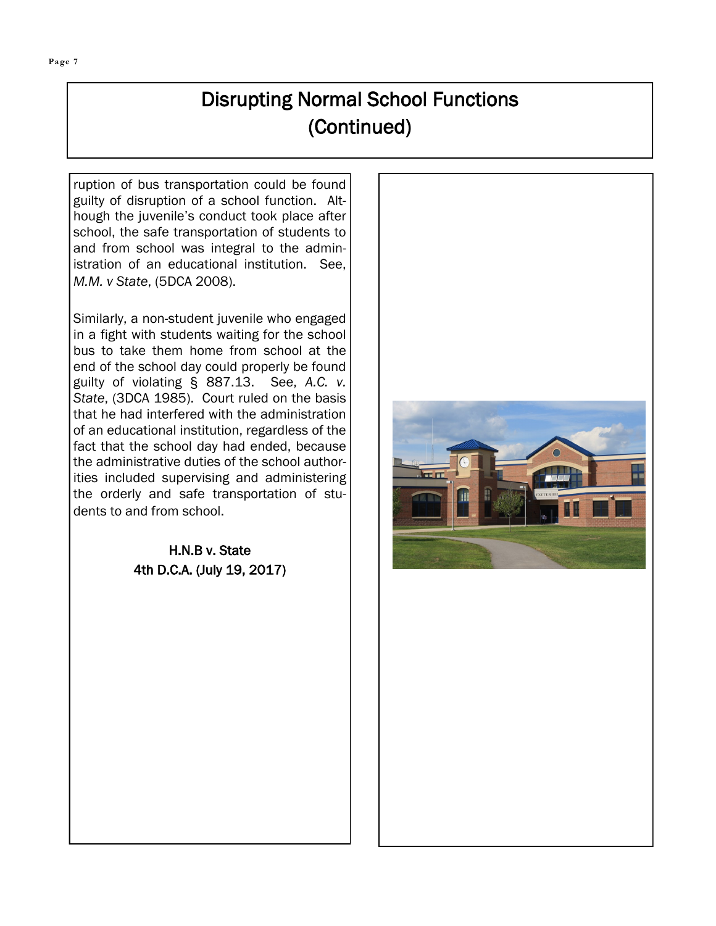# Disrupting Normal School Functions (Continued)

ruption of bus transportation could be found guilty of disruption of a school function. Although the juvenile's conduct took place after school, the safe transportation of students to and from school was integral to the administration of an educational institution. See, *M.M. v State*, (5DCA 2008).

Similarly, a non-student juvenile who engaged in a fight with students waiting for the school bus to take them home from school at the end of the school day could properly be found guilty of violating § 887.13. See, *A.C. v. State*, (3DCA 1985). Court ruled on the basis that he had interfered with the administration of an educational institution, regardless of the fact that the school day had ended, because the administrative duties of the school authorities included supervising and administering the orderly and safe transportation of students to and from school.

> H.N.B v. State 4th D.C.A. (July 19, 2017)

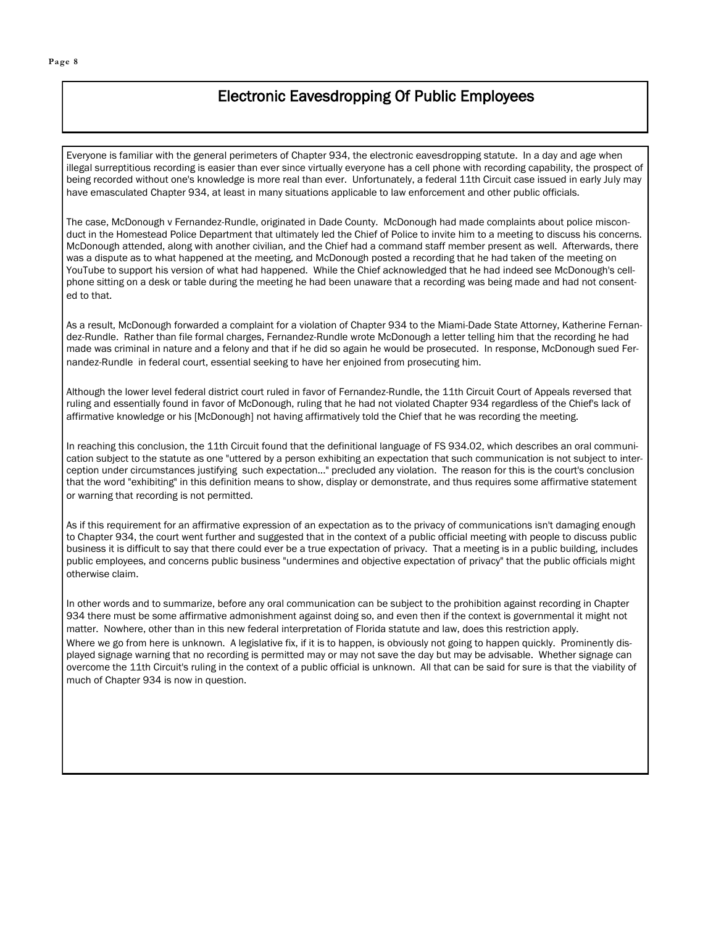### Electronic Eavesdropping Of Public Employees

Everyone is familiar with the general perimeters of Chapter 934, the electronic eavesdropping statute. In a day and age when illegal surreptitious recording is easier than ever since virtually everyone has a cell phone with recording capability, the prospect of being recorded without one's knowledge is more real than ever. Unfortunately, a federal 11th Circuit case issued in early July may have emasculated Chapter 934, at least in many situations applicable to law enforcement and other public officials.

The case, McDonough v Fernandez-Rundle, originated in Dade County. McDonough had made complaints about police misconduct in the Homestead Police Department that ultimately led the Chief of Police to invite him to a meeting to discuss his concerns. McDonough attended, along with another civilian, and the Chief had a command staff member present as well. Afterwards, there was a dispute as to what happened at the meeting, and McDonough posted a recording that he had taken of the meeting on YouTube to support his version of what had happened. While the Chief acknowledged that he had indeed see McDonough's cellphone sitting on a desk or table during the meeting he had been unaware that a recording was being made and had not consented to that.

As a result, McDonough forwarded a complaint for a violation of Chapter 934 to the Miami-Dade State Attorney, Katherine Fernandez-Rundle. Rather than file formal charges, Fernandez-Rundle wrote McDonough a letter telling him that the recording he had made was criminal in nature and a felony and that if he did so again he would be prosecuted. In response, McDonough sued Fernandez-Rundle in federal court, essential seeking to have her enjoined from prosecuting him.

Although the lower level federal district court ruled in favor of Fernandez-Rundle, the 11th Circuit Court of Appeals reversed that ruling and essentially found in favor of McDonough, ruling that he had not violated Chapter 934 regardless of the Chief's lack of affirmative knowledge or his [McDonough] not having affirmatively told the Chief that he was recording the meeting.

In reaching this conclusion, the 11th Circuit found that the definitional language of FS 934.02, which describes an oral communication subject to the statute as one "uttered by a person exhibiting an expectation that such communication is not subject to interception under circumstances justifying such expectation..." precluded any violation. The reason for this is the court's conclusion that the word "exhibiting" in this definition means to show, display or demonstrate, and thus requires some affirmative statement or warning that recording is not permitted.

As if this requirement for an affirmative expression of an expectation as to the privacy of communications isn't damaging enough to Chapter 934, the court went further and suggested that in the context of a public official meeting with people to discuss public business it is difficult to say that there could ever be a true expectation of privacy. That a meeting is in a public building, includes public employees, and concerns public business "undermines and objective expectation of privacy" that the public officials might otherwise claim.

In other words and to summarize, before any oral communication can be subject to the prohibition against recording in Chapter 934 there must be some affirmative admonishment against doing so, and even then if the context is governmental it might not matter. Nowhere, other than in this new federal interpretation of Florida statute and law, does this restriction apply. Where we go from here is unknown. A legislative fix, if it is to happen, is obviously not going to happen quickly. Prominently displayed signage warning that no recording is permitted may or may not save the day but may be advisable. Whether signage can overcome the 11th Circuit's ruling in the context of a public official is unknown. All that can be said for sure is that the viability of much of Chapter 934 is now in question.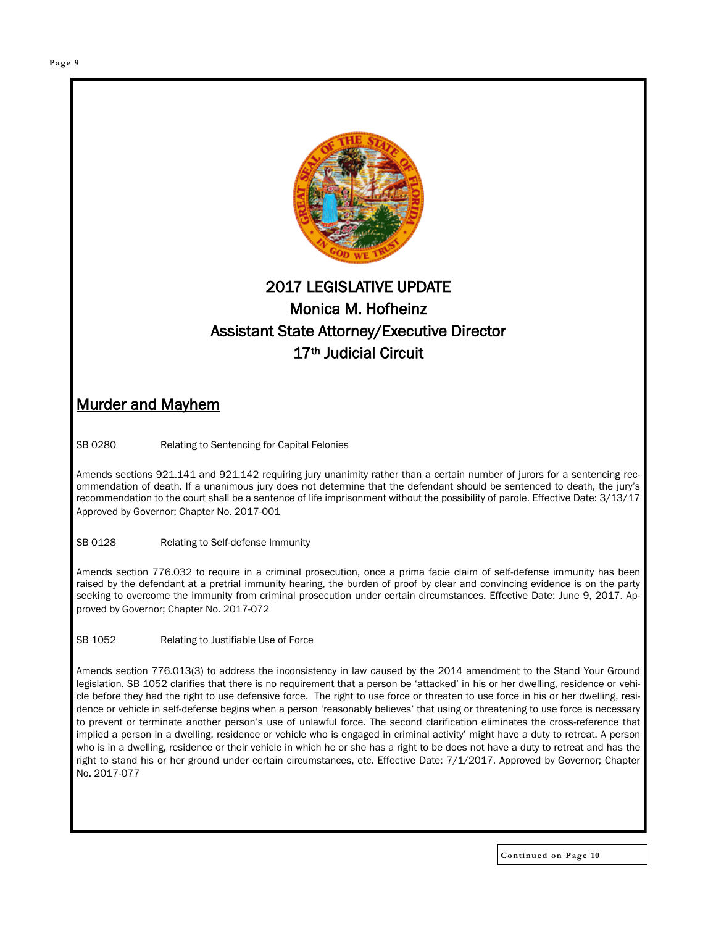

### 2017 LEGISLATIVE UPDATE Monica M. Hofheinz Assistant State Attorney/Executive Director 17th Judicial Circuit

### Murder and Mayhem

SB 0280 Relating to Sentencing for Capital Felonies

Amends sections 921.141 and 921.142 requiring jury unanimity rather than a certain number of jurors for a sentencing recommendation of death. If a unanimous jury does not determine that the defendant should be sentenced to death, the jury's recommendation to the court shall be a sentence of life imprisonment without the possibility of parole. Effective Date: 3/13/17 Approved by Governor; Chapter No. 2017-001

SB 0128 Relating to Self-defense Immunity

Amends section 776.032 to require in a criminal prosecution, once a prima facie claim of self-defense immunity has been raised by the defendant at a pretrial immunity hearing, the burden of proof by clear and convincing evidence is on the party seeking to overcome the immunity from criminal prosecution under certain circumstances. Effective Date: June 9, 2017. Approved by Governor; Chapter No. 2017-072

SB 1052 Relating to Justifiable Use of Force

Amends section 776.013(3) to address the inconsistency in law caused by the 2014 amendment to the Stand Your Ground legislation. SB 1052 clarifies that there is no requirement that a person be 'attacked' in his or her dwelling, residence or vehicle before they had the right to use defensive force. The right to use force or threaten to use force in his or her dwelling, residence or vehicle in self-defense begins when a person 'reasonably believes' that using or threatening to use force is necessary to prevent or terminate another person's use of unlawful force. The second clarification eliminates the cross-reference that implied a person in a dwelling, residence or vehicle who is engaged in criminal activity' might have a duty to retreat. A person who is in a dwelling, residence or their vehicle in which he or she has a right to be does not have a duty to retreat and has the right to stand his or her ground under certain circumstances, etc. Effective Date: 7/1/2017. Approved by Governor; Chapter No. 2017-077

**Continued on Page 10**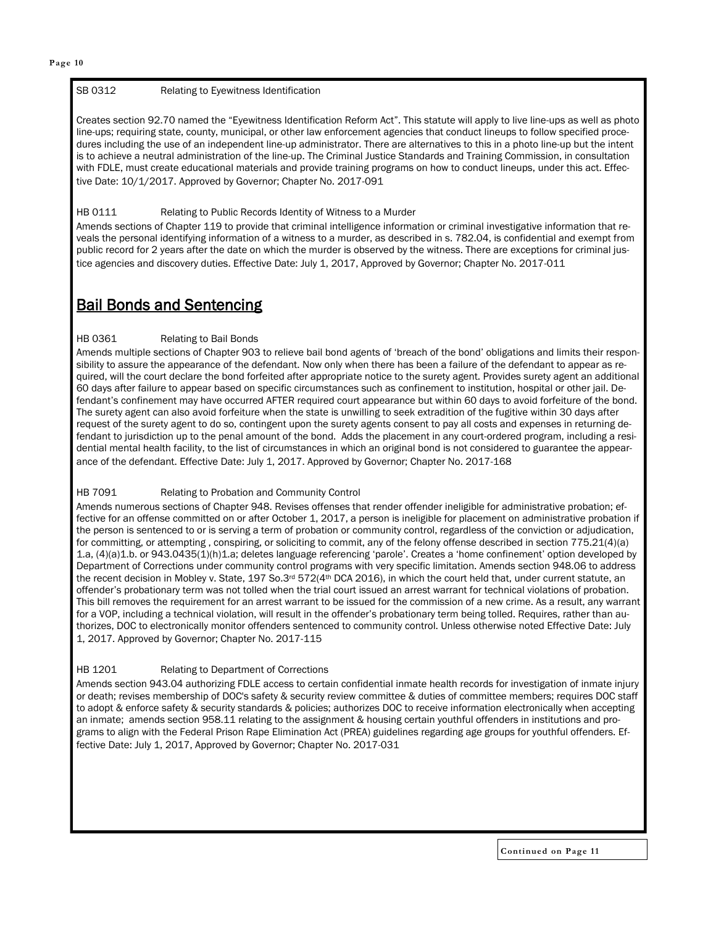### SB 0312 Relating to Eyewitness Identification

Creates section 92.70 named the "Eyewitness Identification Reform Act". This statute will apply to live line-ups as well as photo line-ups; requiring state, county, municipal, or other law enforcement agencies that conduct lineups to follow specified procedures including the use of an independent line-up administrator. There are alternatives to this in a photo line-up but the intent is to achieve a neutral administration of the line-up. The Criminal Justice Standards and Training Commission, in consultation with FDLE, must create educational materials and provide training programs on how to conduct lineups, under this act. Effective Date: 10/1/2017. Approved by Governor; Chapter No. 2017-091

### HB 0111 Relating to Public Records Identity of Witness to a Murder

Amends sections of Chapter 119 to provide that criminal intelligence information or criminal investigative information that reveals the personal identifying information of a witness to a murder, as described in s. 782.04, is confidential and exempt from public record for 2 years after the date on which the murder is observed by the witness. There are exceptions for criminal justice agencies and discovery duties. Effective Date: July 1, 2017, Approved by Governor; Chapter No. 2017-011

### Bail Bonds and Sentencing

### HB 0361 Relating to Bail Bonds

Amends multiple sections of Chapter 903 to relieve bail bond agents of 'breach of the bond' obligations and limits their responsibility to assure the appearance of the defendant. Now only when there has been a failure of the defendant to appear as required, will the court declare the bond forfeited after appropriate notice to the surety agent. Provides surety agent an additional 60 days after failure to appear based on specific circumstances such as confinement to institution, hospital or other jail. Defendant's confinement may have occurred AFTER required court appearance but within 60 days to avoid forfeiture of the bond. The surety agent can also avoid forfeiture when the state is unwilling to seek extradition of the fugitive within 30 days after request of the surety agent to do so, contingent upon the surety agents consent to pay all costs and expenses in returning defendant to jurisdiction up to the penal amount of the bond. Adds the placement in any court-ordered program, including a residential mental health facility, to the list of circumstances in which an original bond is not considered to guarantee the appearance of the defendant. Effective Date: July 1, 2017. Approved by Governor; Chapter No. 2017-168

### HB 7091 Relating to Probation and Community Control

Amends numerous sections of Chapter 948. Revises offenses that render offender ineligible for administrative probation; effective for an offense committed on or after October 1, 2017, a person is ineligible for placement on administrative probation if the person is sentenced to or is serving a term of probation or community control, regardless of the conviction or adjudication, for committing, or attempting, conspiring, or soliciting to commit, any of the felony offense described in section 775.21(4)(a) 1.a, (4)(a)1.b. or 943.0435(1)(h)1.a; deletes language referencing 'parole'. Creates a 'home confinement' option developed by Department of Corrections under community control programs with very specific limitation. Amends section 948.06 to address the recent decision in Mobley v. State, 197 So.3<sup>rd</sup> 572(4<sup>th</sup> DCA 2016), in which the court held that, under current statute, an offender's probationary term was not tolled when the trial court issued an arrest warrant for technical violations of probation. This bill removes the requirement for an arrest warrant to be issued for the commission of a new crime. As a result, any warrant for a VOP, including a technical violation, will result in the offender's probationary term being tolled. Requires, rather than authorizes, DOC to electronically monitor offenders sentenced to community control. Unless otherwise noted Effective Date: July 1, 2017. Approved by Governor; Chapter No. 2017-115

### HB 1201 Relating to Department of Corrections

Amends section 943.04 authorizing FDLE access to certain confidential inmate health records for investigation of inmate injury or death; revises membership of DOC's safety & security review committee & duties of committee members; requires DOC staff to adopt & enforce safety & security standards & policies; authorizes DOC to receive information electronically when accepting an inmate; amends section 958.11 relating to the assignment & housing certain youthful offenders in institutions and programs to align with the Federal Prison Rape Elimination Act (PREA) guidelines regarding age groups for youthful offenders. Effective Date: July 1, 2017, Approved by Governor; Chapter No. 2017-031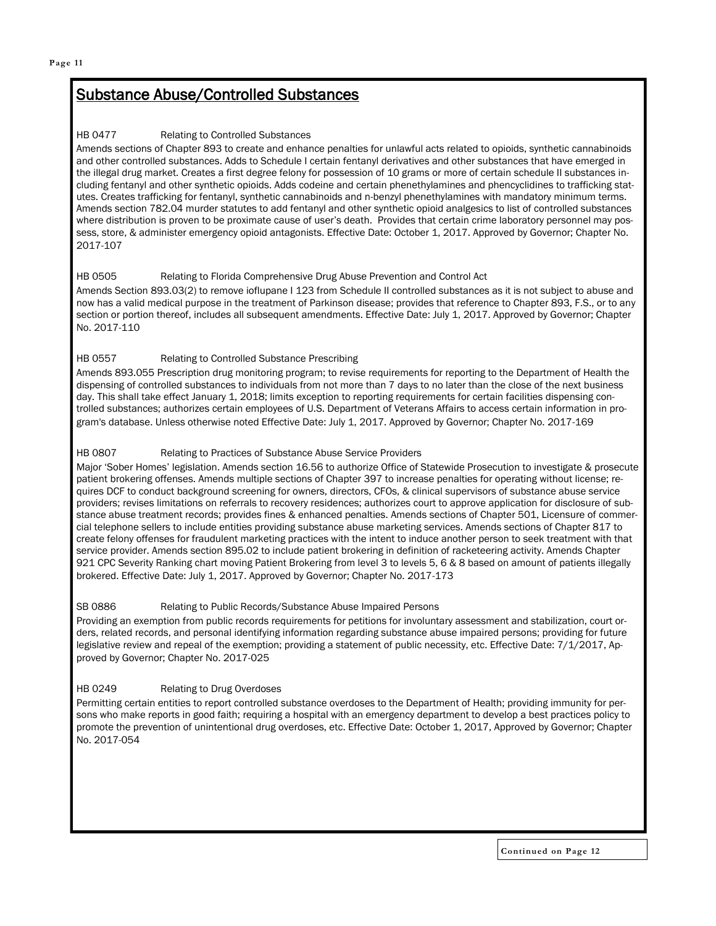### Substance Abuse/Controlled Substances

#### HB 0477 Relating to Controlled Substances

Amends sections of Chapter 893 to create and enhance penalties for unlawful acts related to opioids, synthetic cannabinoids and other controlled substances. Adds to Schedule I certain fentanyl derivatives and other substances that have emerged in the illegal drug market. Creates a first degree felony for possession of 10 grams or more of certain schedule II substances including fentanyl and other synthetic opioids. Adds codeine and certain phenethylamines and phencyclidines to trafficking statutes. Creates trafficking for fentanyl, synthetic cannabinoids and n-benzyl phenethylamines with mandatory minimum terms. Amends section 782.04 murder statutes to add fentanyl and other synthetic opioid analgesics to list of controlled substances where distribution is proven to be proximate cause of user's death. Provides that certain crime laboratory personnel may possess, store, & administer emergency opioid antagonists. Effective Date: October 1, 2017. Approved by Governor; Chapter No. 2017-107

### HB 0505 Relating to Florida Comprehensive Drug Abuse Prevention and Control Act

Amends Section 893.03(2) to remove ioflupane I 123 from Schedule II controlled substances as it is not subject to abuse and now has a valid medical purpose in the treatment of Parkinson disease; provides that reference to Chapter 893, F.S., or to any section or portion thereof, includes all subsequent amendments. Effective Date: July 1, 2017. Approved by Governor; Chapter No. 2017-110

### HB 0557 Relating to Controlled Substance Prescribing

Amends 893.055 Prescription drug monitoring program; to revise requirements for reporting to the Department of Health the dispensing of controlled substances to individuals from not more than 7 days to no later than the close of the next business day. This shall take effect January 1, 2018; limits exception to reporting requirements for certain facilities dispensing controlled substances; authorizes certain employees of U.S. Department of Veterans Affairs to access certain information in program's database. Unless otherwise noted Effective Date: July 1, 2017. Approved by Governor; Chapter No. 2017-169

### HB 0807 Relating to Practices of Substance Abuse Service Providers

Major 'Sober Homes' legislation. Amends section 16.56 to authorize Office of Statewide Prosecution to investigate & prosecute patient brokering offenses. Amends multiple sections of Chapter 397 to increase penalties for operating without license; requires DCF to conduct background screening for owners, directors, CFOs, & clinical supervisors of substance abuse service providers; revises limitations on referrals to recovery residences; authorizes court to approve application for disclosure of substance abuse treatment records; provides fines & enhanced penalties. Amends sections of Chapter 501, Licensure of commercial telephone sellers to include entities providing substance abuse marketing services. Amends sections of Chapter 817 to create felony offenses for fraudulent marketing practices with the intent to induce another person to seek treatment with that service provider. Amends section 895.02 to include patient brokering in definition of racketeering activity. Amends Chapter 921 CPC Severity Ranking chart moving Patient Brokering from level 3 to levels 5, 6 & 8 based on amount of patients illegally brokered. Effective Date: July 1, 2017. Approved by Governor; Chapter No. 2017-173

#### SB 0886 Relating to Public Records/Substance Abuse Impaired Persons

Providing an exemption from public records requirements for petitions for involuntary assessment and stabilization, court orders, related records, and personal identifying information regarding substance abuse impaired persons; providing for future legislative review and repeal of the exemption; providing a statement of public necessity, etc. Effective Date: 7/1/2017, Approved by Governor; Chapter No. 2017-025

### HB 0249 Relating to Drug Overdoses

Permitting certain entities to report controlled substance overdoses to the Department of Health; providing immunity for persons who make reports in good faith; requiring a hospital with an emergency department to develop a best practices policy to promote the prevention of unintentional drug overdoses, etc. Effective Date: October 1, 2017, Approved by Governor; Chapter No. 2017-054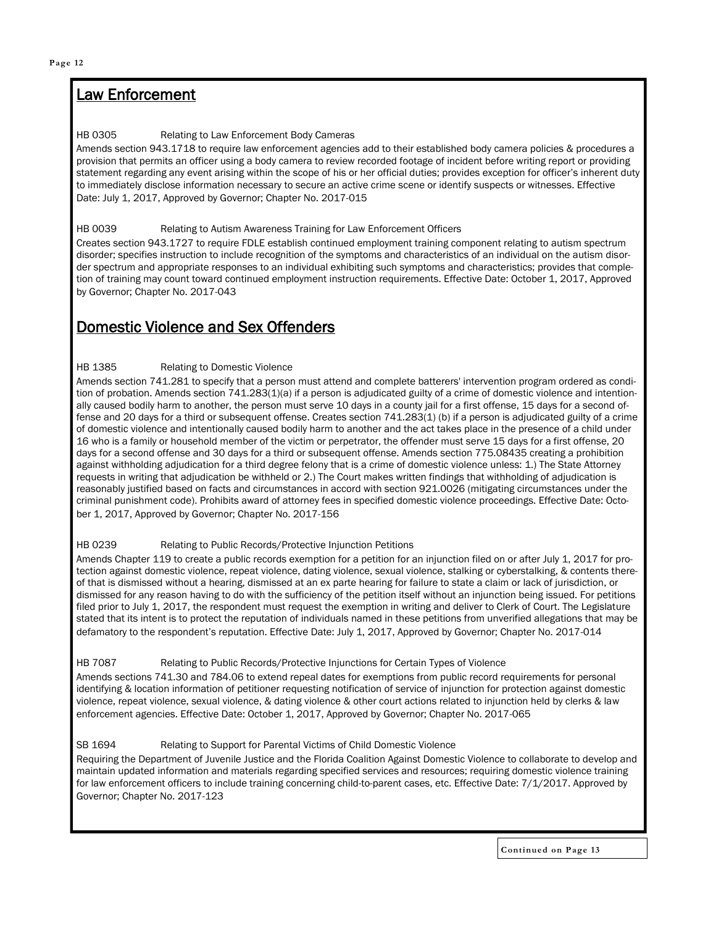### Law Enforcement

### HB 0305 Relating to Law Enforcement Body Cameras

Amends section 943.1718 to require law enforcement agencies add to their established body camera policies & procedures a provision that permits an officer using a body camera to review recorded footage of incident before writing report or providing statement regarding any event arising within the scope of his or her official duties; provides exception for officer's inherent duty to immediately disclose information necessary to secure an active crime scene or identify suspects or witnesses. Effective Date: July 1, 2017, Approved by Governor; Chapter No. 2017-015

### HB 0039 Relating to Autism Awareness Training for Law Enforcement Officers

Creates section 943.1727 to require FDLE establish continued employment training component relating to autism spectrum disorder; specifies instruction to include recognition of the symptoms and characteristics of an individual on the autism disorder spectrum and appropriate responses to an individual exhibiting such symptoms and characteristics; provides that completion of training may count toward continued employment instruction requirements. Effective Date: October 1, 2017, Approved by Governor; Chapter No. 2017-043

### Domestic Violence and Sex Offenders

### HB 1385 Relating to Domestic Violence

Amends section 741.281 to specify that a person must attend and complete batterers' intervention program ordered as condition of probation. Amends section 741.283(1)(a) if a person is adjudicated guilty of a crime of domestic violence and intentionally caused bodily harm to another, the person must serve 10 days in a county jail for a first offense, 15 days for a second offense and 20 days for a third or subsequent offense. Creates section 741.283(1) (b) if a person is adjudicated guilty of a crime of domestic violence and intentionally caused bodily harm to another and the act takes place in the presence of a child under 16 who is a family or household member of the victim or perpetrator, the offender must serve 15 days for a first offense, 20 days for a second offense and 30 days for a third or subsequent offense. Amends section 775.08435 creating a prohibition against withholding adjudication for a third degree felony that is a crime of domestic violence unless: 1.) The State Attorney requests in writing that adjudication be withheld or 2.) The Court makes written findings that withholding of adjudication is reasonably justified based on facts and circumstances in accord with section 921.0026 (mitigating circumstances under the criminal punishment code). Prohibits award of attorney fees in specified domestic violence proceedings. Effective Date: October 1, 2017, Approved by Governor; Chapter No. 2017-156

### HB 0239 Relating to Public Records/Protective Injunction Petitions

Amends Chapter 119 to create a public records exemption for a petition for an injunction filed on or after July 1, 2017 for protection against domestic violence, repeat violence, dating violence, sexual violence, stalking or cyberstalking, & contents thereof that is dismissed without a hearing, dismissed at an ex parte hearing for failure to state a claim or lack of jurisdiction, or dismissed for any reason having to do with the sufficiency of the petition itself without an injunction being issued. For petitions filed prior to July 1, 2017, the respondent must request the exemption in writing and deliver to Clerk of Court. The Legislature stated that its intent is to protect the reputation of individuals named in these petitions from unverified allegations that may be defamatory to the respondent's reputation. Effective Date: July 1, 2017, Approved by Governor; Chapter No. 2017-014

### HB 7087 Relating to Public Records/Protective Injunctions for Certain Types of Violence

Amends sections 741.30 and 784.06 to extend repeal dates for exemptions from public record requirements for personal identifying & location information of petitioner requesting notification of service of injunction for protection against domestic violence, repeat violence, sexual violence, & dating violence & other court actions related to injunction held by clerks & law enforcement agencies. Effective Date: October 1, 2017, Approved by Governor; Chapter No. 2017-065

### SB 1694 Relating to Support for Parental Victims of Child Domestic Violence

Requiring the Department of Juvenile Justice and the Florida Coalition Against Domestic Violence to collaborate to develop and maintain updated information and materials regarding specified services and resources; requiring domestic violence training for law enforcement officers to include training concerning child-to-parent cases, etc. Effective Date: 7/1/2017. Approved by Governor; Chapter No. 2017-123

**Continued on Page 13**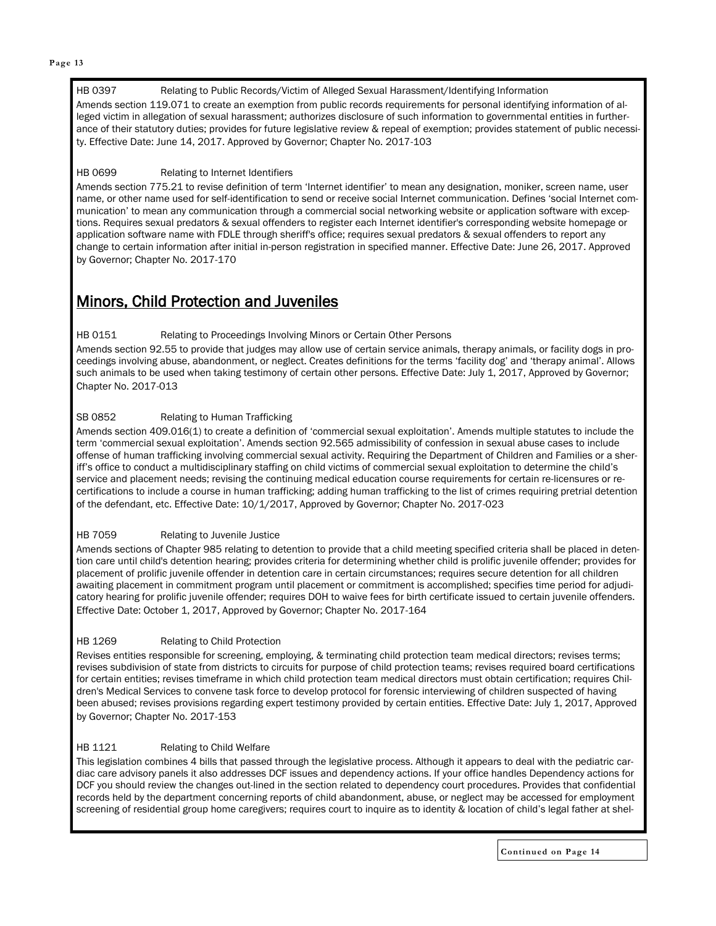#### HB 0397 Relating to Public Records/Victim of Alleged Sexual Harassment/Identifying Information

Amends section 119.071 to create an exemption from public records requirements for personal identifying information of alleged victim in allegation of sexual harassment; authorizes disclosure of such information to governmental entities in furtherance of their statutory duties; provides for future legislative review & repeal of exemption; provides statement of public necessity. Effective Date: June 14, 2017. Approved by Governor; Chapter No. 2017-103

### HB 0699 Relating to Internet Identifiers

Amends section 775.21 to revise definition of term 'Internet identifier' to mean any designation, moniker, screen name, user name, or other name used for self-identification to send or receive social Internet communication. Defines 'social Internet communication' to mean any communication through a commercial social networking website or application software with exceptions. Requires sexual predators & sexual offenders to register each Internet identifier's corresponding website homepage or application software name with FDLE through sheriff's office; requires sexual predators & sexual offenders to report any change to certain information after initial in-person registration in specified manner. Effective Date: June 26, 2017. Approved by Governor; Chapter No. 2017-170

### Minors, Child Protection and Juveniles

### HB 0151 Relating to Proceedings Involving Minors or Certain Other Persons

Amends section 92.55 to provide that judges may allow use of certain service animals, therapy animals, or facility dogs in proceedings involving abuse, abandonment, or neglect. Creates definitions for the terms 'facility dog' and 'therapy animal'. Allows such animals to be used when taking testimony of certain other persons. Effective Date: July 1, 2017, Approved by Governor; Chapter No. 2017-013

### SB 0852 Relating to Human Trafficking

Amends section 409.016(1) to create a definition of 'commercial sexual exploitation'. Amends multiple statutes to include the term 'commercial sexual exploitation'. Amends section 92.565 admissibility of confession in sexual abuse cases to include offense of human trafficking involving commercial sexual activity. Requiring the Department of Children and Families or a sheriff's office to conduct a multidisciplinary staffing on child victims of commercial sexual exploitation to determine the child's service and placement needs; revising the continuing medical education course requirements for certain re-licensures or recertifications to include a course in human trafficking; adding human trafficking to the list of crimes requiring pretrial detention of the defendant, etc. Effective Date: 10/1/2017, Approved by Governor; Chapter No. 2017-023

### HB 7059 Relating to Juvenile Justice

Amends sections of Chapter 985 relating to detention to provide that a child meeting specified criteria shall be placed in detention care until child's detention hearing; provides criteria for determining whether child is prolific juvenile offender; provides for placement of prolific juvenile offender in detention care in certain circumstances; requires secure detention for all children awaiting placement in commitment program until placement or commitment is accomplished; specifies time period for adjudicatory hearing for prolific juvenile offender; requires DOH to waive fees for birth certificate issued to certain juvenile offenders. Effective Date: October 1, 2017, Approved by Governor; Chapter No. 2017-164

### HB 1269 Relating to Child Protection

Revises entities responsible for screening, employing, & terminating child protection team medical directors; revises terms; revises subdivision of state from districts to circuits for purpose of child protection teams; revises required board certifications for certain entities; revises timeframe in which child protection team medical directors must obtain certification; requires Children's Medical Services to convene task force to develop protocol for forensic interviewing of children suspected of having been abused; revises provisions regarding expert testimony provided by certain entities. Effective Date: July 1, 2017, Approved by Governor; Chapter No. 2017-153

### HB 1121 Relating to Child Welfare

This legislation combines 4 bills that passed through the legislative process. Although it appears to deal with the pediatric cardiac care advisory panels it also addresses DCF issues and dependency actions. If your office handles Dependency actions for DCF you should review the changes out-lined in the section related to dependency court procedures. Provides that confidential records held by the department concerning reports of child abandonment, abuse, or neglect may be accessed for employment screening of residential group home caregivers; requires court to inquire as to identity & location of child's legal father at shel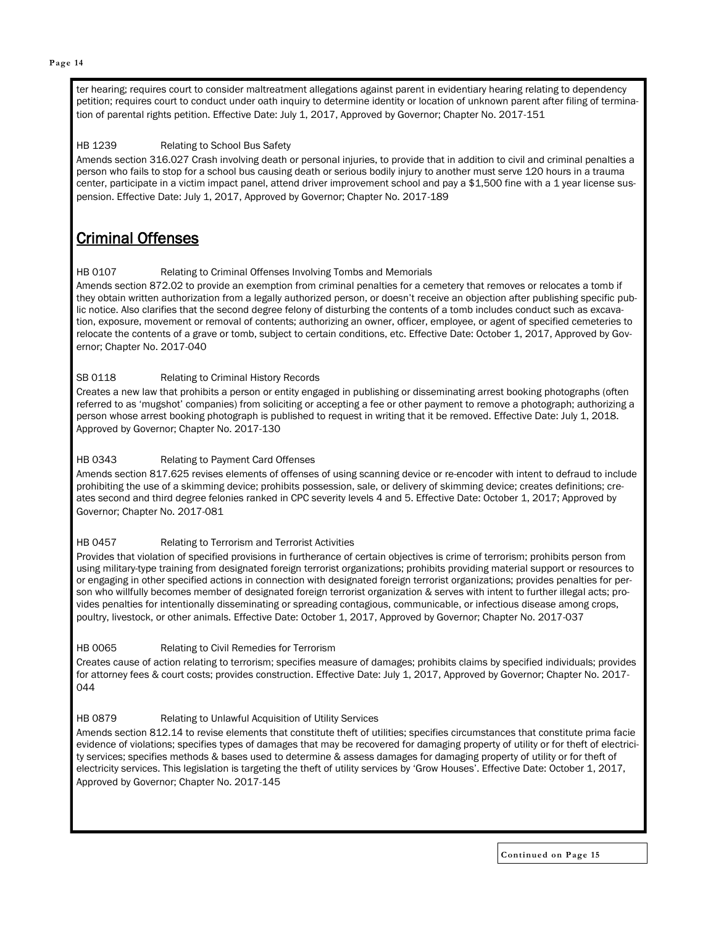ter hearing; requires court to consider maltreatment allegations against parent in evidentiary hearing relating to dependency petition; requires court to conduct under oath inquiry to determine identity or location of unknown parent after filing of termination of parental rights petition. Effective Date: July 1, 2017, Approved by Governor; Chapter No. 2017-151

### HB 1239 Relating to School Bus Safety

Amends section 316.027 Crash involving death or personal injuries, to provide that in addition to civil and criminal penalties a person who fails to stop for a school bus causing death or serious bodily injury to another must serve 120 hours in a trauma center, participate in a victim impact panel, attend driver improvement school and pay a \$1,500 fine with a 1 year license suspension. Effective Date: July 1, 2017, Approved by Governor; Chapter No. 2017-189

### Criminal Offenses

### HB 0107 Relating to Criminal Offenses Involving Tombs and Memorials

Amends section 872.02 to provide an exemption from criminal penalties for a cemetery that removes or relocates a tomb if they obtain written authorization from a legally authorized person, or doesn't receive an objection after publishing specific public notice. Also clarifies that the second degree felony of disturbing the contents of a tomb includes conduct such as excavation, exposure, movement or removal of contents; authorizing an owner, officer, employee, or agent of specified cemeteries to relocate the contents of a grave or tomb, subject to certain conditions, etc. Effective Date: October 1, 2017, Approved by Governor; Chapter No. 2017-040

### SB 0118 Relating to Criminal History Records

Creates a new law that prohibits a person or entity engaged in publishing or disseminating arrest booking photographs (often referred to as 'mugshot' companies) from soliciting or accepting a fee or other payment to remove a photograph; authorizing a person whose arrest booking photograph is published to request in writing that it be removed. Effective Date: July 1, 2018. Approved by Governor; Chapter No. 2017-130

#### HB 0343 Relating to Payment Card Offenses

Amends section 817.625 revises elements of offenses of using scanning device or re-encoder with intent to defraud to include prohibiting the use of a skimming device; prohibits possession, sale, or delivery of skimming device; creates definitions; creates second and third degree felonies ranked in CPC severity levels 4 and 5. Effective Date: October 1, 2017; Approved by Governor; Chapter No. 2017-081

#### HB 0457 Relating to Terrorism and Terrorist Activities

Provides that violation of specified provisions in furtherance of certain objectives is crime of terrorism; prohibits person from using military-type training from designated foreign terrorist organizations; prohibits providing material support or resources to or engaging in other specified actions in connection with designated foreign terrorist organizations; provides penalties for person who willfully becomes member of designated foreign terrorist organization & serves with intent to further illegal acts; provides penalties for intentionally disseminating or spreading contagious, communicable, or infectious disease among crops, poultry, livestock, or other animals. Effective Date: October 1, 2017, Approved by Governor; Chapter No. 2017-037

#### HB 0065 Relating to Civil Remedies for Terrorism

Creates cause of action relating to terrorism; specifies measure of damages; prohibits claims by specified individuals; provides for attorney fees & court costs; provides construction. Effective Date: July 1, 2017, Approved by Governor; Chapter No. 2017- 044

### HB 0879 Relating to Unlawful Acquisition of Utility Services

Amends section 812.14 to revise elements that constitute theft of utilities; specifies circumstances that constitute prima facie evidence of violations; specifies types of damages that may be recovered for damaging property of utility or for theft of electricity services; specifies methods & bases used to determine & assess damages for damaging property of utility or for theft of electricity services. This legislation is targeting the theft of utility services by 'Grow Houses'. Effective Date: October 1, 2017, Approved by Governor; Chapter No. 2017-145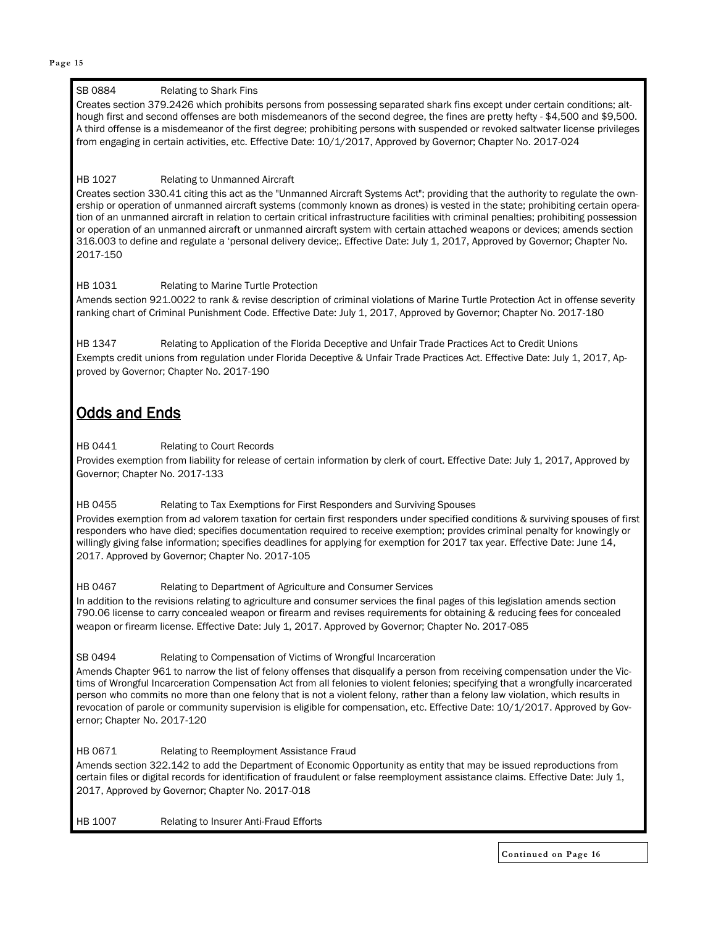#### **Page 15**

### SB 0884 Relating to Shark Fins

Creates section 379.2426 which prohibits persons from possessing separated shark fins except under certain conditions; although first and second offenses are both misdemeanors of the second degree, the fines are pretty hefty - \$4,500 and \$9,500. A third offense is a misdemeanor of the first degree; prohibiting persons with suspended or revoked saltwater license privileges from engaging in certain activities, etc. Effective Date: 10/1/2017, Approved by Governor; Chapter No. 2017-024

### HB 1027 Relating to Unmanned Aircraft

Creates section 330.41 citing this act as the "Unmanned Aircraft Systems Act"; providing that the authority to regulate the ownership or operation of unmanned aircraft systems (commonly known as drones) is vested in the state; prohibiting certain operation of an unmanned aircraft in relation to certain critical infrastructure facilities with criminal penalties; prohibiting possession or operation of an unmanned aircraft or unmanned aircraft system with certain attached weapons or devices; amends section 316.003 to define and regulate a 'personal delivery device;. Effective Date: July 1, 2017, Approved by Governor; Chapter No. 2017-150

### HB 1031 Relating to Marine Turtle Protection

Amends section 921.0022 to rank & revise description of criminal violations of Marine Turtle Protection Act in offense severity ranking chart of Criminal Punishment Code. Effective Date: July 1, 2017, Approved by Governor; Chapter No. 2017-180

HB 1347 Relating to Application of the Florida Deceptive and Unfair Trade Practices Act to Credit Unions Exempts credit unions from regulation under Florida Deceptive & Unfair Trade Practices Act. Effective Date: July 1, 2017, Approved by Governor; Chapter No. 2017-190

### Odds and Ends

#### HB 0441 Relating to Court Records

Provides exemption from liability for release of certain information by clerk of court. Effective Date: July 1, 2017, Approved by Governor; Chapter No. 2017-133

#### HB 0455 Relating to Tax Exemptions for First Responders and Surviving Spouses

Provides exemption from ad valorem taxation for certain first responders under specified conditions & surviving spouses of first responders who have died; specifies documentation required to receive exemption; provides criminal penalty for knowingly or willingly giving false information; specifies deadlines for applying for exemption for 2017 tax year. Effective Date: June 14, 2017. Approved by Governor; Chapter No. 2017-105

HB 0467 Relating to Department of Agriculture and Consumer Services

In addition to the revisions relating to agriculture and consumer services the final pages of this legislation amends section 790.06 license to carry concealed weapon or firearm and revises requirements for obtaining & reducing fees for concealed weapon or firearm license. Effective Date: July 1, 2017. Approved by Governor; Chapter No. 2017-085

#### SB 0494 Relating to Compensation of Victims of Wrongful Incarceration

Amends Chapter 961 to narrow the list of felony offenses that disqualify a person from receiving compensation under the Victims of Wrongful Incarceration Compensation Act from all felonies to violent felonies; specifying that a wrongfully incarcerated person who commits no more than one felony that is not a violent felony, rather than a felony law violation, which results in revocation of parole or community supervision is eligible for compensation, etc. Effective Date: 10/1/2017. Approved by Governor; Chapter No. 2017-120

HB 0671 Relating to Reemployment Assistance Fraud Amends section 322.142 to add the Department of Economic Opportunity as entity that may be issued reproductions from certain files or digital records for identification of fraudulent or false reemployment assistance claims. Effective Date: July 1, 2017, Approved by Governor; Chapter No. 2017-018

HB 1007 Relating to Insurer Anti-Fraud Efforts

**Continued on Page 16**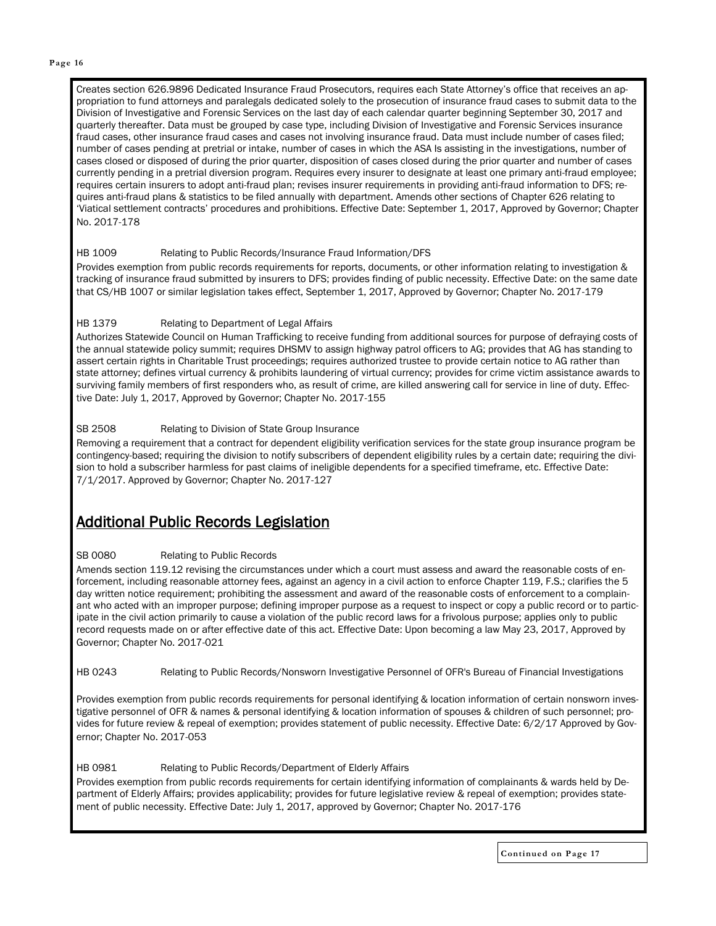#### **Page 16**

Creates section 626.9896 Dedicated Insurance Fraud Prosecutors, requires each State Attorney's office that receives an appropriation to fund attorneys and paralegals dedicated solely to the prosecution of insurance fraud cases to submit data to the Division of Investigative and Forensic Services on the last day of each calendar quarter beginning September 30, 2017 and quarterly thereafter. Data must be grouped by case type, including Division of Investigative and Forensic Services insurance fraud cases, other insurance fraud cases and cases not involving insurance fraud. Data must include number of cases filed; number of cases pending at pretrial or intake, number of cases in which the ASA Is assisting in the investigations, number of cases closed or disposed of during the prior quarter, disposition of cases closed during the prior quarter and number of cases currently pending in a pretrial diversion program. Requires every insurer to designate at least one primary anti-fraud employee; requires certain insurers to adopt anti-fraud plan; revises insurer requirements in providing anti-fraud information to DFS; requires anti-fraud plans & statistics to be filed annually with department. Amends other sections of Chapter 626 relating to 'Viatical settlement contracts' procedures and prohibitions. Effective Date: September 1, 2017, Approved by Governor; Chapter No. 2017-178

### HB 1009 Relating to Public Records/Insurance Fraud Information/DFS

Provides exemption from public records requirements for reports, documents, or other information relating to investigation & tracking of insurance fraud submitted by insurers to DFS; provides finding of public necessity. Effective Date: on the same date that CS/HB 1007 or similar legislation takes effect, September 1, 2017, Approved by Governor; Chapter No. 2017-179

### HB 1379 Relating to Department of Legal Affairs

Authorizes Statewide Council on Human Trafficking to receive funding from additional sources for purpose of defraying costs of the annual statewide policy summit; requires DHSMV to assign highway patrol officers to AG; provides that AG has standing to assert certain rights in Charitable Trust proceedings; requires authorized trustee to provide certain notice to AG rather than state attorney; defines virtual currency & prohibits laundering of virtual currency; provides for crime victim assistance awards to surviving family members of first responders who, as result of crime, are killed answering call for service in line of duty. Effective Date: July 1, 2017, Approved by Governor; Chapter No. 2017-155

### SB 2508 Relating to Division of State Group Insurance

Removing a requirement that a contract for dependent eligibility verification services for the state group insurance program be contingency-based; requiring the division to notify subscribers of dependent eligibility rules by a certain date; requiring the division to hold a subscriber harmless for past claims of ineligible dependents for a specified timeframe, etc. Effective Date: 7/1/2017. Approved by Governor; Chapter No. 2017-127

### Additional Public Records Legislation

#### SB 0080 Relating to Public Records

Amends section 119.12 revising the circumstances under which a court must assess and award the reasonable costs of enforcement, including reasonable attorney fees, against an agency in a civil action to enforce Chapter 119, F.S.; clarifies the 5 day written notice requirement; prohibiting the assessment and award of the reasonable costs of enforcement to a complainant who acted with an improper purpose; defining improper purpose as a request to inspect or copy a public record or to participate in the civil action primarily to cause a violation of the public record laws for a frivolous purpose; applies only to public record requests made on or after effective date of this act. Effective Date: Upon becoming a law May 23, 2017, Approved by Governor; Chapter No. 2017-021

HB 0243 Relating to Public Records/Nonsworn Investigative Personnel of OFR's Bureau of Financial Investigations

Provides exemption from public records requirements for personal identifying & location information of certain nonsworn investigative personnel of OFR & names & personal identifying & location information of spouses & children of such personnel; provides for future review & repeal of exemption; provides statement of public necessity. Effective Date: 6/2/17 Approved by Governor; Chapter No. 2017-053

HB 0981 Relating to Public Records/Department of Elderly Affairs Provides exemption from public records requirements for certain identifying information of complainants & wards held by Department of Elderly Affairs; provides applicability; provides for future legislative review & repeal of exemption; provides statement of public necessity. Effective Date: July 1, 2017, approved by Governor; Chapter No. 2017-176